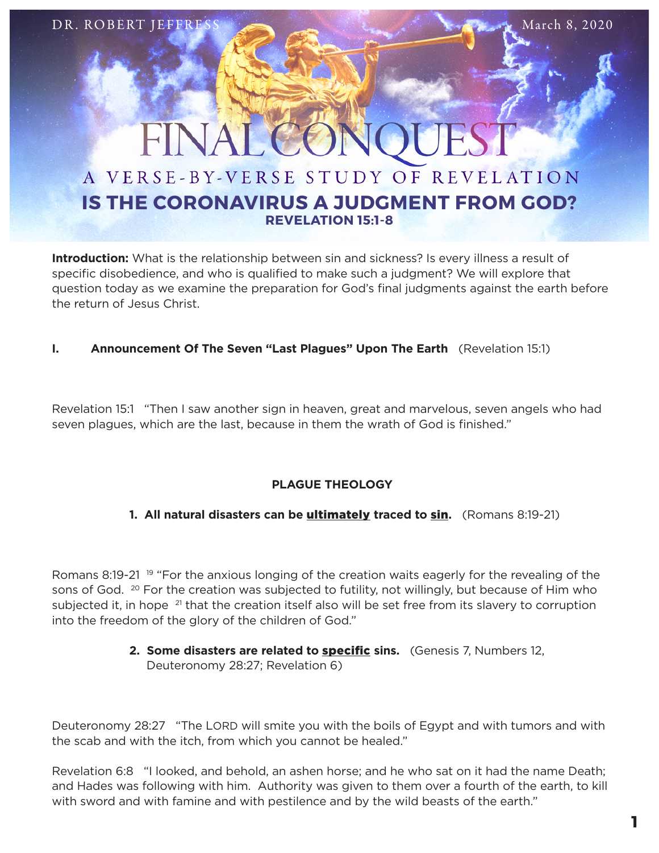FINAL

# A VERSE-BY-VERSE STUDY OF REVELATION **IS THE CORONAVIRUS A JUDGMENT FROM GOD? REVELATION 15:1-8**

**Introduction:** What is the relationship between sin and sickness? Is every illness a result of specific disobedience, and who is qualified to make such a judgment? We will explore that question today as we examine the preparation for God's final judgments against the earth before the return of Jesus Christ.

# **I. Announcement Of The Seven "Last Plagues" Upon The Earth** (Revelation 15:1)

Revelation 15:1 "Then I saw another sign in heaven, great and marvelous, seven angels who had seven plagues, which are the last, because in them the wrath of God is finished."

# **PLAGUE THEOLOGY**

# **1. All natural disasters can be** ultimately **traced to** sin**.** (Romans 8:19-21)

Romans 8:19-21 <sup>19</sup> "For the anxious longing of the creation waits eagerly for the revealing of the sons of God. <sup>20</sup> For the creation was subjected to futility, not willingly, but because of Him who subjected it, in hope <sup>21</sup> that the creation itself also will be set free from its slavery to corruption into the freedom of the glory of the children of God."

# 2. Some disasters are related to **specific** sins. (Genesis 7, Numbers 12, Deuteronomy 28:27; Revelation 6)

Deuteronomy 28:27 "The LORD will smite you with the boils of Egypt and with tumors and with the scab and with the itch, from which you cannot be healed."

Revelation 6:8 "I looked, and behold, an ashen horse; and he who sat on it had the name Death; and Hades was following with him. Authority was given to them over a fourth of the earth, to kill with sword and with famine and with pestilence and by the wild beasts of the earth."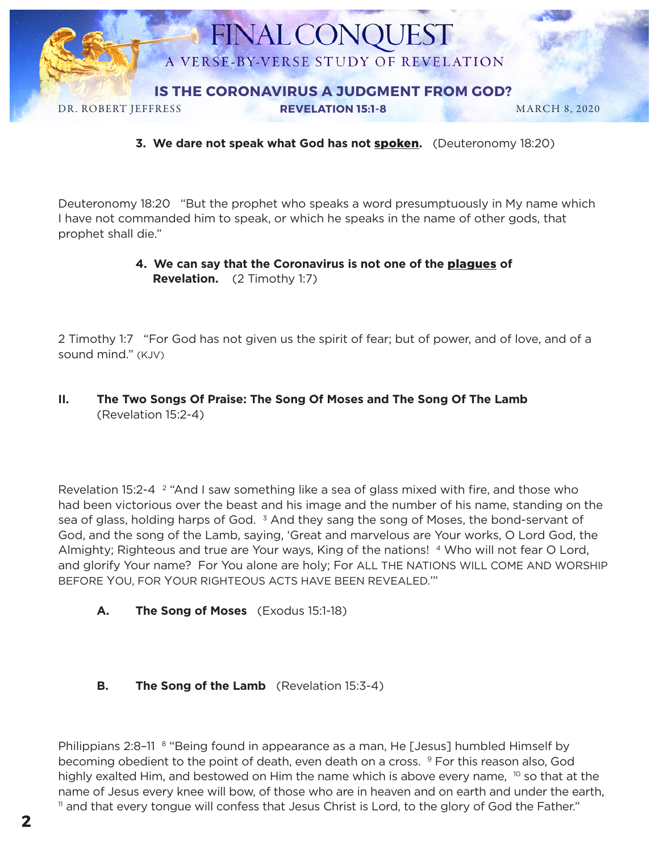

**3. We dare not speak what God has not** spoken**.** (Deuteronomy 18:20)

Deuteronomy 18:20 "But the prophet who speaks a word presumptuously in My name which I have not commanded him to speak, or which he speaks in the name of other gods, that prophet shall die."

## **4. We can say that the Coronavirus is not one of the** plagues **of Revelation.** (2 Timothy 1:7)

2 Timothy 1:7 "For God has not given us the spirit of fear; but of power, and of love, and of a sound mind." (KJV)

## **II. The Two Songs Of Praise: The Song Of Moses and The Song Of The Lamb**  (Revelation 15:2-4)

Revelation 15:2-4 <sup>2</sup> "And I saw something like a sea of glass mixed with fire, and those who had been victorious over the beast and his image and the number of his name, standing on the sea of glass, holding harps of God.  $3$  And they sang the song of Moses, the bond-servant of God, and the song of the Lamb, saying, 'Great and marvelous are Your works, O Lord God, the Almighty; Righteous and true are Your ways, King of the nations! <sup>4</sup> Who will not fear O Lord, and glorify Your name? For You alone are holy; For ALL THE NATIONS WILL COME AND WORSHIP BEFORE YOU, FOR YOUR RIGHTEOUS ACTS HAVE BEEN REVEALED.'"

**A. The Song of Moses** (Exodus 15:1-18)

## **B. The Song of the Lamb** (Revelation 15:3-4)

Philippians 2:8-11 <sup>8</sup> "Being found in appearance as a man, He [Jesus] humbled Himself by becoming obedient to the point of death, even death on a cross. <sup>9</sup> For this reason also, God highly exalted Him, and bestowed on Him the name which is above every name,  $10$  so that at the name of Jesus every knee will bow, of those who are in heaven and on earth and under the earth, <sup>11</sup> and that every tongue will confess that Jesus Christ is Lord, to the glory of God the Father."